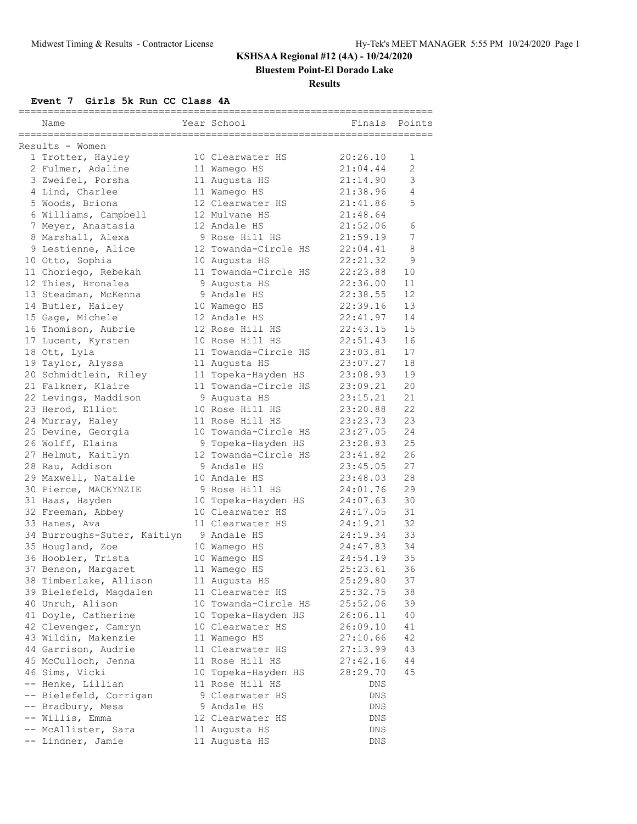**Bluestem Point-El Dorado Lake**

#### **Results**

### **Event 7 Girls 5k Run CC Class 4A**

|                                        |                                        | ,,,,,,,,,,,,,,,,,,,,,,,, |        |
|----------------------------------------|----------------------------------------|--------------------------|--------|
| Name                                   | Year School                            | Finals                   | Points |
| ______________________________________ | =========================              |                          |        |
| Results - Women                        |                                        |                          |        |
| 1 Trotter, Hayley                      | 10 Clearwater HS                       | 20:26.10<br>21:04.44     | 1<br>2 |
| 2 Fulmer, Adaline                      | 11 Wamego HS                           | 21:14.90                 | 3      |
| 3 Zweifel, Porsha                      | 11 Augusta HS                          |                          | 4      |
| 4 Lind, Charlee                        | 11 Wamego HS                           | 21:38.96                 | 5      |
| 5 Woods, Briona                        | 12 Clearwater HS<br>12 Mulvane HS      | 21:41.86                 |        |
| 6 Williams, Campbell                   |                                        | 21:48.64                 |        |
| 7 Meyer, Anastasia                     | 12 Andale HS                           | 21:52.06                 | 6<br>7 |
| 8 Marshall, Alexa                      | 9 Rose Hill HS<br>12 Towanda-Circle HS | 21:59.19                 |        |
| 9 Lestienne, Alice                     |                                        | 22:04.41<br>22:21.32     | 8<br>9 |
| 10 Otto, Sophia                        | 10 Augusta HS                          |                          |        |
| 11 Choriego, Rebekah                   | 11 Towanda-Circle HS                   | 22:23.88                 | 10     |
| 12 Thies, Bronalea                     | 9 Augusta HS                           | 22:36.00                 | 11     |
| 13 Steadman, McKenna                   | 9 Andale HS                            | 22:38.55                 | 12     |
| 14 Butler, Hailey                      | 10 Wamego HS                           | 22:39.16                 | 13     |
| 15 Gage, Michele                       | 12 Andale HS                           | 22:41.97                 | 14     |
| 16 Thomison, Aubrie                    | 12 Rose Hill HS                        | 22:43.15                 | 15     |
| 17 Lucent, Kyrsten                     | 10 Rose Hill HS                        | 22:51.43                 | 16     |
| 18 Ott, Lyla                           | 11 Towanda-Circle HS                   | 23:03.81                 | 17     |
| 19 Taylor, Alyssa                      | 11 Augusta HS                          | 23:07.27                 | 18     |
| 20 Schmidtlein, Riley                  | 11 Topeka-Hayden HS                    | 23:08.93                 | 19     |
| 21 Falkner, Klaire                     | 11 Towanda-Circle HS                   | 23:09.21                 | 20     |
| 22 Levings, Maddison                   | 9 Augusta HS                           | 23:15.21                 | 21     |
| 23 Herod, Elliot                       | 10 Rose Hill HS                        | 23:20.88                 | 22     |
| 24 Murray, Haley                       | 11 Rose Hill HS                        | 23:23.73                 | 23     |
| 25 Devine, Georgia                     | 10 Towanda-Circle HS                   | 23:27.05                 | 24     |
| 26 Wolff, Elaina                       | 9 Topeka-Hayden HS                     | 23:28.83                 | 25     |
| 27 Helmut, Kaitlyn                     | 12 Towanda-Circle HS                   | 23:41.82                 | 26     |
| 28 Rau, Addison                        | 9 Andale HS                            | 23:45.05                 | 27     |
| 29 Maxwell, Natalie                    | 10 Andale HS                           | 23:48.03                 | 28     |
| 30 Pierce, MACKYNZIE                   | 9 Rose Hill HS                         | 24:01.76                 | 29     |
| 31 Haas, Hayden                        | 10 Topeka-Hayden HS                    | 24:07.63                 | 30     |
| 32 Freeman, Abbey                      | 10 Clearwater HS                       | 24:17.05                 | 31     |
| 33 Hanes, Ava                          | 11 Clearwater HS                       | 24:19.21                 | 32     |
| 34 Burroughs-Suter, Kaitlyn            | 9 Andale HS                            | 24:19.34                 | 33     |
| 35 Hougland, Zoe                       | 10 Wamego HS                           | 24:47.83                 | 34     |
| 36 Hoobler, Trista                     | 10 Wamego HS                           | 24:54.19                 | 35     |
| 37 Benson, Margaret                    | 11 Wamego HS                           | 25:23.61                 | 36     |
| 38 Timberlake, Allison                 | 11 Augusta HS                          | 25:29.80                 | 37     |
| 39 Bielefeld, Magdalen                 | 11 Clearwater HS                       | 25:32.75                 | 38     |
| 40 Unruh, Alison                       | 10 Towanda-Circle HS                   | 25:52.06                 | 39     |
| 41 Doyle, Catherine                    | 10 Topeka-Hayden HS                    | 26:06.11                 | 40     |
| 42 Clevenger, Camryn                   | 10 Clearwater HS                       | 26:09.10                 | 41     |
| 43 Wildin, Makenzie                    | 11 Wamego HS                           | 27:10.66                 | 42     |
| 44 Garrison, Audrie                    | 11 Clearwater HS                       | 27:13.99                 | 43     |
| 45 McCulloch, Jenna                    | 11 Rose Hill HS                        | 27:42.16                 | 44     |
| 46 Sims, Vicki                         | 10 Topeka-Hayden HS                    | 28:29.70                 | 45     |
| -- Henke, Lillian                      | 11 Rose Hill HS                        | DNS                      |        |
| -- Bielefeld, Corrigan                 | 9 Clearwater HS                        | DNS                      |        |
| -- Bradbury, Mesa                      | 9 Andale HS                            | DNS                      |        |
| -- Willis, Emma                        | 12 Clearwater HS                       | DNS                      |        |
| -- McAllister, Sara                    | 11 Augusta HS                          | DNS                      |        |
| -- Lindner, Jamie                      | 11 Augusta HS                          | DNS                      |        |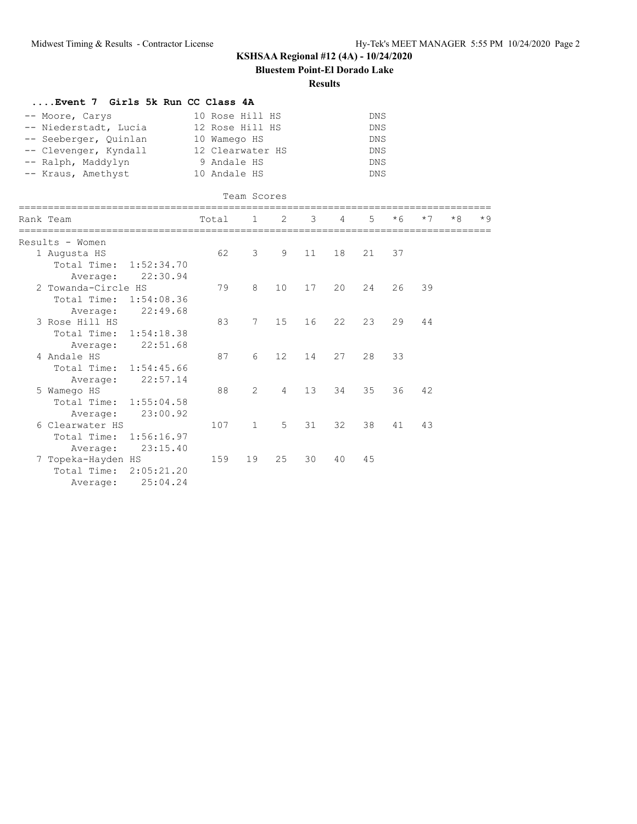**Bluestem Point-El Dorado Lake**

#### **Results**

| Event 7 Girls 5k Run CC Class 4A                                                                                                       |                                                                                                       |              |                |                                                                    |              |    |      |      |      |      |
|----------------------------------------------------------------------------------------------------------------------------------------|-------------------------------------------------------------------------------------------------------|--------------|----------------|--------------------------------------------------------------------|--------------|----|------|------|------|------|
| -- Moore, Carys<br>-- Niederstadt, Lucia<br>-- Seeberger, Quinlan<br>-- Clevenger, Kyndall<br>-- Ralph, Maddylyn<br>-- Kraus, Amethyst | 10 Rose Hill HS<br>12 Rose Hill HS<br>10 Wamego HS<br>12 Clearwater HS<br>9 Andale HS<br>10 Andale HS |              |                | <b>DNS</b><br><b>DNS</b><br>DNS<br>DNS<br><b>DNS</b><br><b>DNS</b> |              |    |      |      |      |      |
| =================                                                                                                                      |                                                                                                       | Team Scores  |                |                                                                    |              |    |      |      |      |      |
| Rank Team                                                                                                                              | Total                                                                                                 | 1            | 2              | 3                                                                  | 4            | 5  | $*6$ | $*7$ | $*8$ | $*9$ |
| Results - Women                                                                                                                        |                                                                                                       |              |                |                                                                    |              |    |      |      |      |      |
| 1 Augusta HS                                                                                                                           | 62                                                                                                    | 3            | 9              | 11                                                                 | 18           | 21 | 37   |      |      |      |
| Total Time:<br>1:52:34.70                                                                                                              |                                                                                                       |              |                |                                                                    |              |    |      |      |      |      |
| 22:30.94<br>Average:                                                                                                                   |                                                                                                       |              |                |                                                                    |              |    |      |      |      |      |
| 2 Towanda-Circle HS                                                                                                                    | 79                                                                                                    | 8            | 10             | 17                                                                 | 20           | 24 | 26   | 39   |      |      |
| Total Time:<br>1:54:08.36                                                                                                              |                                                                                                       |              |                |                                                                    |              |    |      |      |      |      |
| 22:49.68<br>Average:<br>3 Rose Hill HS                                                                                                 | 83                                                                                                    | 7            | 15             | 16                                                                 | $22^{\circ}$ | 23 | 29   | 44   |      |      |
| Total Time:<br>1:54:18.38                                                                                                              |                                                                                                       |              |                |                                                                    |              |    |      |      |      |      |
| 22:51.68<br>Average:                                                                                                                   |                                                                                                       |              |                |                                                                    |              |    |      |      |      |      |
| 4 Andale HS                                                                                                                            | 87                                                                                                    | 6            | 12             | 14                                                                 | 27           | 28 | 33   |      |      |      |
| Total Time: 1:54:45.66                                                                                                                 |                                                                                                       |              |                |                                                                    |              |    |      |      |      |      |
| 22:57.14<br>Average:                                                                                                                   |                                                                                                       |              |                |                                                                    |              |    |      |      |      |      |
| 5 Wamego HS                                                                                                                            | 88                                                                                                    | 2            | $\overline{4}$ | 13                                                                 | 34           | 35 | 36   | 42   |      |      |
| Total Time:<br>1:55:04.58                                                                                                              |                                                                                                       |              |                |                                                                    |              |    |      |      |      |      |
| 23:00.92<br>Average:                                                                                                                   |                                                                                                       |              |                |                                                                    |              |    |      |      |      |      |
| 6 Clearwater HS                                                                                                                        | 107                                                                                                   | $\mathbf{1}$ | 5              | 31                                                                 | 32           | 38 | 41   | 43   |      |      |
| Total Time:<br>1:56:16.97                                                                                                              |                                                                                                       |              |                |                                                                    |              |    |      |      |      |      |
| 23:15.40<br>Average:                                                                                                                   |                                                                                                       |              |                |                                                                    |              |    |      |      |      |      |
| 7 Topeka-Hayden HS                                                                                                                     | 159                                                                                                   | 19           | 25             | 30                                                                 | 40           | 45 |      |      |      |      |
| Total Time:<br>2:05:21.20                                                                                                              |                                                                                                       |              |                |                                                                    |              |    |      |      |      |      |
| 25:04.24<br>Average:                                                                                                                   |                                                                                                       |              |                |                                                                    |              |    |      |      |      |      |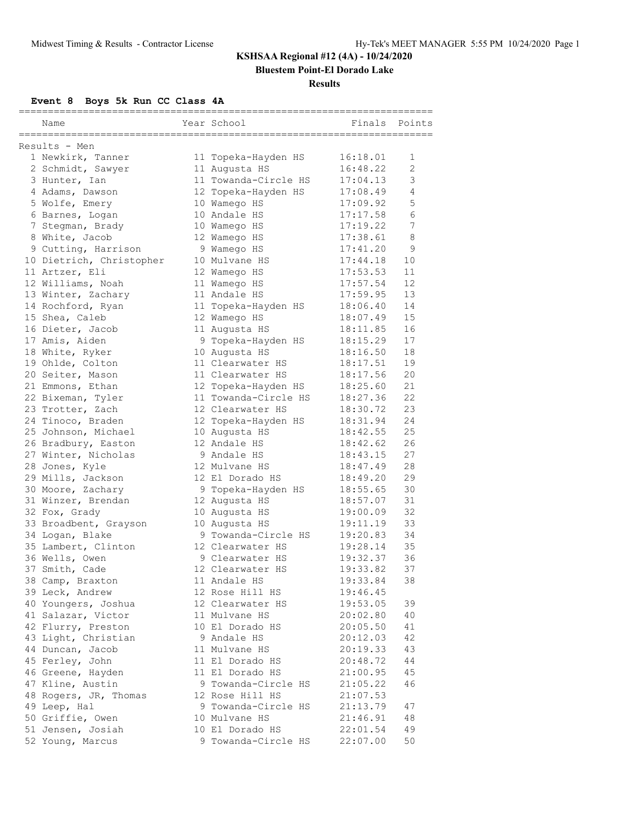**Bluestem Point-El Dorado Lake**

#### **Results**

### **Event 8 Boys 5k Run CC Class 4A**

| ============================= |                          |  |                      |          |                |  |  |  |  |
|-------------------------------|--------------------------|--|----------------------|----------|----------------|--|--|--|--|
|                               | Name                     |  | Year School          | Finals   | Points         |  |  |  |  |
|                               |                          |  |                      |          |                |  |  |  |  |
|                               | Results - Men            |  |                      |          |                |  |  |  |  |
|                               | 1 Newkirk, Tanner        |  | 11 Topeka-Hayden HS  | 16:18.01 | 1              |  |  |  |  |
|                               | 2 Schmidt, Sawyer        |  | 11 Augusta HS        | 16:48.22 | $\overline{2}$ |  |  |  |  |
|                               | 3 Hunter, Ian            |  | 11 Towanda-Circle HS | 17:04.13 | 3              |  |  |  |  |
|                               | 4 Adams, Dawson          |  | 12 Topeka-Hayden HS  | 17:08.49 | 4              |  |  |  |  |
|                               | 5 Wolfe, Emery           |  | 10 Wamego HS         | 17:09.92 | 5              |  |  |  |  |
|                               | 6 Barnes, Logan          |  | 10 Andale HS         | 17:17.58 | 6              |  |  |  |  |
|                               | 7 Stegman, Brady         |  | 10 Wamego HS         | 17:19.22 | 7              |  |  |  |  |
|                               | 8 White, Jacob           |  | 12 Wamego HS         | 17:38.61 | 8              |  |  |  |  |
|                               | 9 Cutting, Harrison      |  | 9 Wamego HS          | 17:41.20 | 9              |  |  |  |  |
|                               | 10 Dietrich, Christopher |  | 10 Mulvane HS        | 17:44.18 | $10\,$         |  |  |  |  |
|                               | 11 Artzer, Eli           |  | 12 Wamego HS         | 17:53.53 | 11             |  |  |  |  |
|                               | 12 Williams, Noah        |  | 11 Wamego HS         | 17:57.54 | 12             |  |  |  |  |
|                               | 13 Winter, Zachary       |  | 11 Andale HS         | 17:59.95 | 13             |  |  |  |  |
|                               | 14 Rochford, Ryan        |  | 11 Topeka-Hayden HS  | 18:06.40 | 14             |  |  |  |  |
|                               | 15 Shea, Caleb           |  | 12 Wamego HS         | 18:07.49 | 15             |  |  |  |  |
|                               | 16 Dieter, Jacob         |  | 11 Augusta HS        | 18:11.85 | 16             |  |  |  |  |
|                               | 17 Amis, Aiden           |  | 9 Topeka-Hayden HS   | 18:15.29 | 17             |  |  |  |  |
|                               | 18 White, Ryker          |  | 10 Augusta HS        | 18:16.50 | 18             |  |  |  |  |
|                               | 19 Ohlde, Colton         |  | 11 Clearwater HS     | 18:17.51 | 19             |  |  |  |  |
|                               | 20 Seiter, Mason         |  | 11 Clearwater HS     | 18:17.56 | 20             |  |  |  |  |
|                               | 21 Emmons, Ethan         |  | 12 Topeka-Hayden HS  | 18:25.60 | 21             |  |  |  |  |
|                               | 22 Bixeman, Tyler        |  | 11 Towanda-Circle HS | 18:27.36 | 22             |  |  |  |  |
|                               | 23 Trotter, Zach         |  | 12 Clearwater HS     | 18:30.72 | 23             |  |  |  |  |
|                               | 24 Tinoco, Braden        |  | 12 Topeka-Hayden HS  | 18:31.94 | 24             |  |  |  |  |
|                               | 25 Johnson, Michael      |  | 10 Augusta HS        | 18:42.55 | 25             |  |  |  |  |
|                               | 26 Bradbury, Easton      |  | 12 Andale HS         | 18:42.62 | 26             |  |  |  |  |
|                               | 27 Winter, Nicholas      |  | 9 Andale HS          | 18:43.15 | 27             |  |  |  |  |
|                               | 28 Jones, Kyle           |  | 12 Mulvane HS        | 18:47.49 | 28             |  |  |  |  |
|                               | 29 Mills, Jackson        |  | 12 El Dorado HS      | 18:49.20 | 29             |  |  |  |  |
|                               | 30 Moore, Zachary        |  | 9 Topeka-Hayden HS   | 18:55.65 | 30             |  |  |  |  |
|                               | 31 Winzer, Brendan       |  | 12 Augusta HS        | 18:57.07 | 31             |  |  |  |  |
|                               | 32 Fox, Grady            |  | 10 Augusta HS        | 19:00.09 | 32             |  |  |  |  |
|                               | 33 Broadbent, Grayson    |  | 10 Augusta HS        | 19:11.19 | 33             |  |  |  |  |
|                               | 34 Logan, Blake          |  | 9 Towanda-Circle HS  | 19:20.83 | 34             |  |  |  |  |
|                               | 35 Lambert, Clinton      |  | 12 Clearwater HS     | 19:28.14 | 35             |  |  |  |  |
|                               | 36 Wells, Owen           |  | 9 Clearwater HS      | 19:32.37 | 36             |  |  |  |  |
|                               | 37 Smith, Cade           |  | 12 Clearwater HS     | 19:33.82 | 37             |  |  |  |  |
|                               | 38 Camp, Braxton         |  | 11 Andale HS         | 19:33.84 | 38             |  |  |  |  |
|                               | 39 Leck, Andrew          |  | 12 Rose Hill HS      | 19:46.45 |                |  |  |  |  |
|                               | 40 Youngers, Joshua      |  | 12 Clearwater HS     | 19:53.05 | 39             |  |  |  |  |
|                               | 41 Salazar, Victor       |  | 11 Mulvane HS        | 20:02.80 | 40             |  |  |  |  |
|                               | 42 Flurry, Preston       |  | 10 El Dorado HS      | 20:05.50 | 41             |  |  |  |  |
|                               | 43 Light, Christian      |  | 9 Andale HS          | 20:12.03 | 42             |  |  |  |  |
|                               | 44 Duncan, Jacob         |  | 11 Mulvane HS        | 20:19.33 | 43             |  |  |  |  |
|                               | 45 Ferley, John          |  | 11 El Dorado HS      | 20:48.72 | 44             |  |  |  |  |
|                               | 46 Greene, Hayden        |  | 11 El Dorado HS      | 21:00.95 | 45             |  |  |  |  |
|                               | 47 Kline, Austin         |  | 9 Towanda-Circle HS  |          |                |  |  |  |  |
|                               |                          |  |                      | 21:05.22 | 46             |  |  |  |  |
|                               | 48 Rogers, JR, Thomas    |  | 12 Rose Hill HS      | 21:07.53 |                |  |  |  |  |
|                               | 49 Leep, Hal             |  | 9 Towanda-Circle HS  | 21:13.79 | 47             |  |  |  |  |
|                               | 50 Griffie, Owen         |  | 10 Mulvane HS        | 21:46.91 | 48             |  |  |  |  |
|                               | 51 Jensen, Josiah        |  | 10 El Dorado HS      | 22:01.54 | 49             |  |  |  |  |
|                               | 52 Young, Marcus         |  | 9 Towanda-Circle HS  | 22:07.00 | 50             |  |  |  |  |